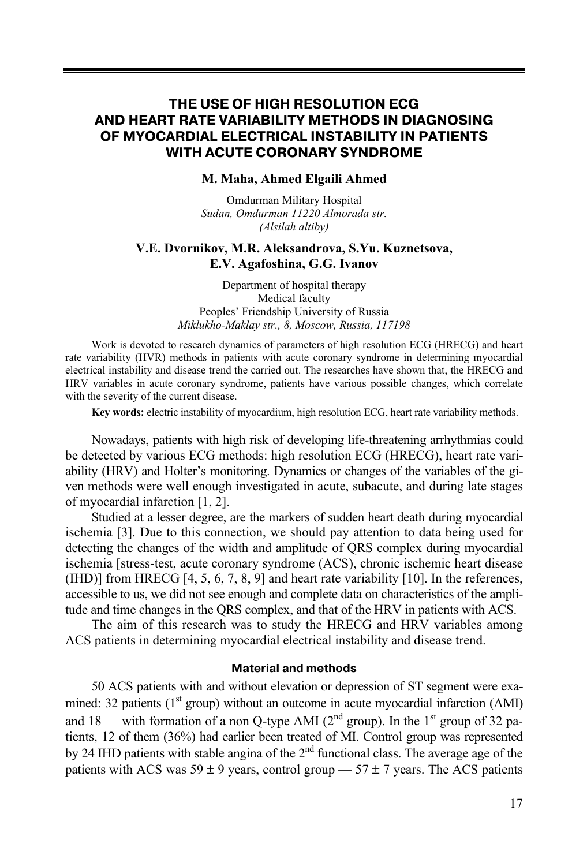# **THE USE OF HIGH RESOLUTION ECG AND HEART RATE VARIABILITY METHODS IN DIAGNOSING OF MYOCARDIAL ELECTRICAL INSTABILITY IN PATIENTS WITH ACUTE CORONARY SYNDROME**

### **M. Maha, Ahmed Elgaili Ahmed**

Omdurman Military Hospital *Sudan, Omdurman 11220 Almorada str. (Alsilah altiby)* 

## **V.E. Dvornikov, M.R. Aleksandrova, S.Yu. Kuznetsova, E.V. Agafoshina, G.G. Ivanov**

Department of hospital therapy Medical faculty Peoples' Friendship University of Russia *Мiklukho-Maklay str., 8, Moscow, Russia, 117198* 

Work is devoted to research dynamics of parameters of high resolution ECG (HRECG) and heart rate variability (HVR) methods in patients with acute coronary syndrome in determining myocardial electrical instability and disease trend the carried out. The researches have shown that, the HRECG and HRV variables in acute coronary syndrome, patients have various possible changes, which correlate with the severity of the current disease.

**Key words:** electric instability of myocardium, high resolution ECG, heart rate variability methods.

Nowadays, patients with high risk of developing life-threatening arrhythmias could be detected by various ECG methods: high resolution ECG (HRECG), heart rate variability (HRV) and Holter's monitoring. Dynamics or changes of the variables of the given methods were well enough investigated in acute, subacute, and during late stages of myocardial infarction [1, 2].

Studied at a lesser degree, are the markers of sudden heart death during myocardial ischemia [3]. Due to this connection, we should pay attention to data being used for detecting the changes of the width and amplitude of QRS complex during myocardial ischemia [stress-test, acute coronary syndrome (ACS), chronic ischemic heart disease (IHD)] from HRECG [4, 5, 6, 7, 8, 9] and heart rate variability [10]. In the references, accessible to us, we did not see enough and complete data on characteristics of the amplitude and time changes in the QRS complex, and that of the HRV in patients with ACS.

The aim of this research was to study the HRECG and HRV variables among ACS patients in determining myocardial electrical instability and disease trend.

### **Material and methods**

50 ACS patients with and without elevation or depression of ST segment were examined: 32 patients  $(1<sup>st</sup> group)$  without an outcome in acute myocardial infarction  $(AMI)$ and  $18$  — with formation of a non Q-type AMI ( $2<sup>nd</sup>$  group). In the  $1<sup>st</sup>$  group of 32 patients, 12 of them (36%) had earlier been treated of MI. Control group was represented by 24 IHD patients with stable angina of the  $2<sup>nd</sup>$  functional class. The average age of the patients with ACS was  $59 \pm 9$  years, control group —  $57 \pm 7$  years. The ACS patients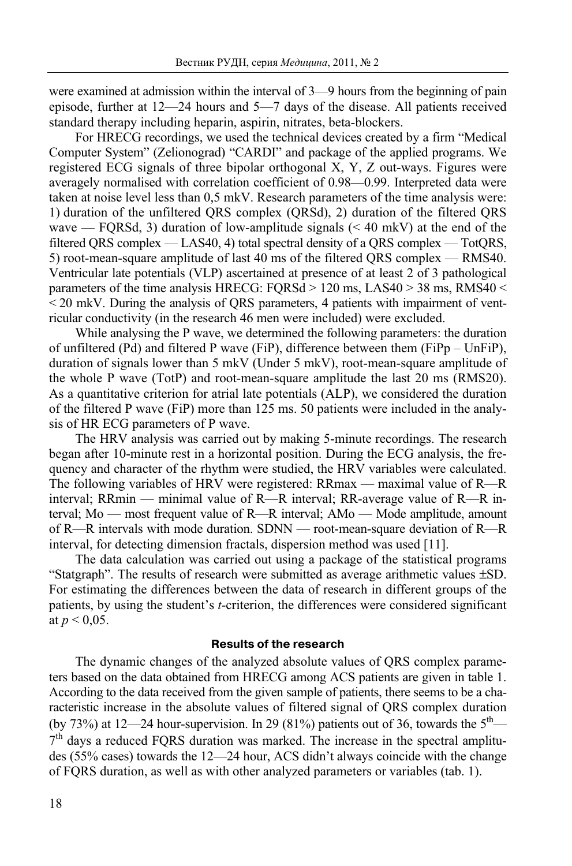were examined at admission within the interval of 3—9 hours from the beginning of pain episode, further at 12—24 hours and 5—7 days of the disease. All patients received standard therapy including heparin, aspirin, nitrates, beta-blockers.

For HRECG recordings, we used the technical devices created by a firm "Medical Computer System" (Zelionograd) "CARDI" and package of the applied programs. We registered ECG signals of three bipolar orthogonal X, Y, Z out-ways. Figures were averagely normalised with correlation coefficient of 0.98—0.99. Interpreted data were taken at noise level less than 0,5 mkV. Research parameters of the time analysis were: 1) duration of the unfiltered QRS complex (QRSd), 2) duration of the filtered QRS wave — FQRSd, 3) duration of low-amplitude signals  $(< 40 \text{ mV})$  at the end of the filtered QRS complex — LAS40, 4) total spectral density of a QRS complex — TotQRS, 5) root-mean-square amplitude of last 40 ms of the filtered QRS complex — RMS40. Ventricular late potentials (VLP) ascertained at presence of at least 2 of 3 pathological parameters of the time analysis HRECG: FQRSd > 120 ms, LAS40 > 38 ms, RMS40 <  $\leq$  20 mkV. During the analysis of QRS parameters, 4 patients with impairment of ventricular conductivity (in the research 46 men were included) were excluded.

While analysing the P wave, we determined the following parameters: the duration of unfiltered (Pd) and filtered Р wave (FiР), difference between them (FiPp – UnFiP), duration of signals lower than 5 mkV (Under 5 mkV), root-mean-square amplitude of the whole P wave (TotP) and root-mean-square amplitude the last 20 ms (RMS20). As a quantitative criterion for atrial late potentials (ALP), we considered the duration of the filtered P wave (FiР) more than 125 ms. 50 patients were included in the analysis of HR ECG parameters of Р wave.

The HRV analysis was carried out by making 5-minute recordings. The research began after 10-minute rest in a horizontal position. During the ECG analysis, the frequency and character of the rhythm were studied, the HRV variables were calculated. The following variables of HRV were registered: RRmax — maximal value of R—R interval; RRmin — minimal value of R—R interval; RR-average value of R—R interval; Мо — most frequent value of R—R interval; AMo — Mode amplitude, amount of R—R intervals with mode duration. SDNN — root-mean-square deviation of R—R interval, for detecting dimension fractals, dispersion method was used [11].

The data calculation was carried out using a package of the statistical programs "Statgraph". The results of research were submitted as average arithmetic values ±SD. For estimating the differences between the data of research in different groups of the patients, by using the student's *t*-criterion, the differences were considered significant at  $p < 0.05$ .

### **Results of the research**

The dynamic changes of the analyzed absolute values of QRS complex parameters based on the data obtained from HRECG among ACS patients are given in table 1. According to the data received from the given sample of patients, there seems to be a characteristic increase in the absolute values of filtered signal of QRS complex duration (by 73%) at 12—24 hour-supervision. In 29 (81%) patients out of 36, towards the  $5<sup>th</sup>$ —  $7<sup>th</sup>$  days a reduced FQRS duration was marked. The increase in the spectral amplitudes (55% cases) towards the 12—24 hour, ACS didn't always coincide with the change of FQRS duration, as well as with other analyzed parameters or variables (tab. 1).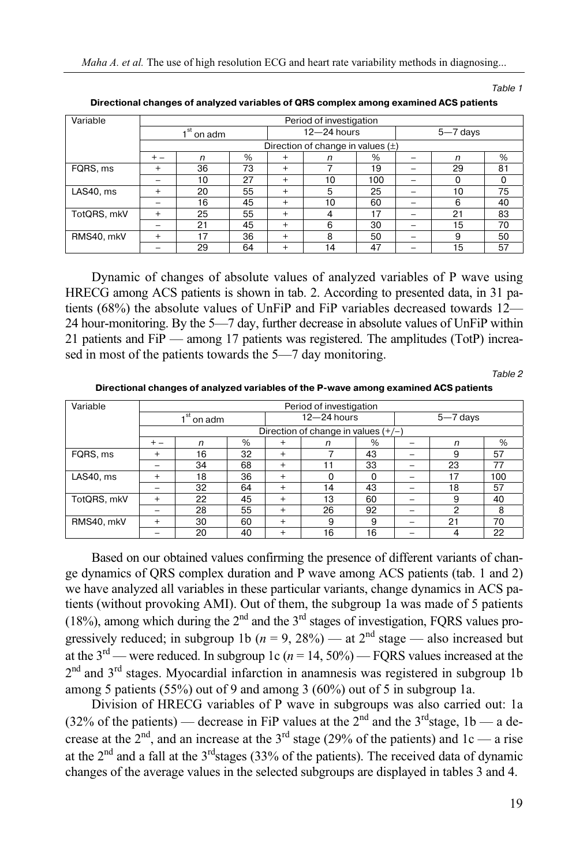*Maha A. et al.* The use of high resolution ECG and heart rate variability methods in diagnosing...

Table 1

| Variable    | Period of investigation |    |    |                 |                                       |      |              |    |    |
|-------------|-------------------------|----|----|-----------------|---------------------------------------|------|--------------|----|----|
|             | , st<br>on adm          |    |    | $12 - 24$ hours |                                       |      | $5 - 7$ days |    |    |
|             |                         |    |    |                 | Direction of change in values $(\pm)$ |      |              |    |    |
|             | $+ -$                   | n  | %  | $\overline{+}$  | n                                     | $\%$ |              | n  | %  |
| FQRS, ms    | $^+$                    | 36 | 73 | $^{+}$          |                                       | 19   |              | 29 | 81 |
|             |                         | 10 | 27 | $^{+}$          | 10                                    | 100  |              | 0  | 0  |
| LAS40, ms   | $^{+}$                  | 20 | 55 | $^{+}$          | 5                                     | 25   |              | 10 | 75 |
|             |                         | 16 | 45 | $^{+}$          | 10                                    | 60   |              | 6  | 40 |
| TotQRS, mkV | $^{+}$                  | 25 | 55 | $^{+}$          | 4                                     | 17   |              | 21 | 83 |
|             |                         | 21 | 45 | $^{+}$          | 6                                     | 30   |              | 15 | 70 |
| RMS40, mkV  | $^{+}$                  | 17 | 36 | $^{+}$          | 8                                     | 50   |              | 9  | 50 |
|             |                         | 29 | 64 | $^{+}$          | 14                                    | 47   |              | 15 | 57 |

**Directional changes of analyzed variables of QRS complex among examined ACS patients** 

Dynamic of changes of absolute values of analyzed variables of P wave using HRECG among ACS patients is shown in tab. 2. According to presented data, in 31 patients (68%) the absolute values of UnFiP and FiP variables decreased towards 12— 24 hour-monitoring. By the 5—7 day, further decrease in absolute values of UnFiP within 21 patients and FiP — among 17 patients was registered. The amplitudes (TotP) increased in most of the patients towards the 5—7 day monitoring.

Table 2

**Directional changes of analyzed variables of the P-wave among examined ACS patients** 

| Variable    | Period of investigation |    |      |                                       |    |          |              |    |     |
|-------------|-------------------------|----|------|---------------------------------------|----|----------|--------------|----|-----|
|             | $1st$ on adm            |    |      | $12 - 24$ hours                       |    |          | $5 - 7$ days |    |     |
|             |                         |    |      | Direction of change in values $(+/-)$ |    |          |              |    |     |
|             | $+ -$                   | n  | $\%$ | $^{+}$                                | n  | %        |              | n  | %   |
| FQRS, ms    | $^+$                    | 16 | 32   | $^{+}$                                |    | 43       |              | 9  | 57  |
|             |                         | 34 | 68   | $^{+}$                                |    | 33       |              | 23 | 77  |
| LAS40, ms   | $\,{}^{+}\,$            | 18 | 36   | $\ddot{}$                             |    | $\Omega$ |              | 17 | 100 |
|             |                         | 32 | 64   | $^{+}$                                | 14 | 43       |              | 18 | 57  |
| TotQRS, mkV | $\, +$                  | 22 | 45   | $\ddot{}$                             | 13 | 60       |              | 9  | 40  |
|             |                         | 28 | 55   | $\ddot{}$                             | 26 | 92       |              | 2  | 8   |
| RMS40, mkV  | $\,{}^{+}\,$            | 30 | 60   | $^{+}$                                | 9  | 9        |              | 21 | 70  |
|             |                         | 20 | 40   | $\ddot{}$                             | 16 | 16       |              | 4  | 22  |

Based on our obtained values confirming the presence of different variants of change dynamics of QRS complex duration and Р wave among ACS patients (tab. 1 and 2) we have analyzed all variables in these particular variants, change dynamics in ACS patients (without provoking AMI). Out of them, the subgroup 1а was made of 5 patients (18%), among which during the  $2<sup>nd</sup>$  and the  $3<sup>rd</sup>$  stages of investigation, FQRS values progressively reduced; in subgroup 1b ( $n = 9, 28\%$ ) — at  $2<sup>nd</sup>$  stage — also increased but at the  $3^{rd}$  — were reduced. In subgroup 1c ( $n = 14$ , 50%) — FQRS values increased at the 2<sup>nd</sup> and 3<sup>rd</sup> stages. Myocardial infarction in anamnesis was registered in subgroup 1b among 5 patients (55%) out of 9 and among 3 (60%) out of 5 in subgroup 1а.

Division of HRECG variables of Р wave in subgroups was also carried out: 1а (32% of the patients) — decrease in FiP values at the 2<sup>nd</sup> and the 3<sup>rd</sup> stage, 1b — a decrease at the  $2<sup>nd</sup>$ , and an increase at the  $3<sup>rd</sup>$  stage (29% of the patients) and 1c — a rise at the  $2<sup>nd</sup>$  and a fall at the  $3<sup>rd</sup>$ stages (33% of the patients). The received data of dynamic changes of the average values in the selected subgroups are displayed in tables 3 and 4.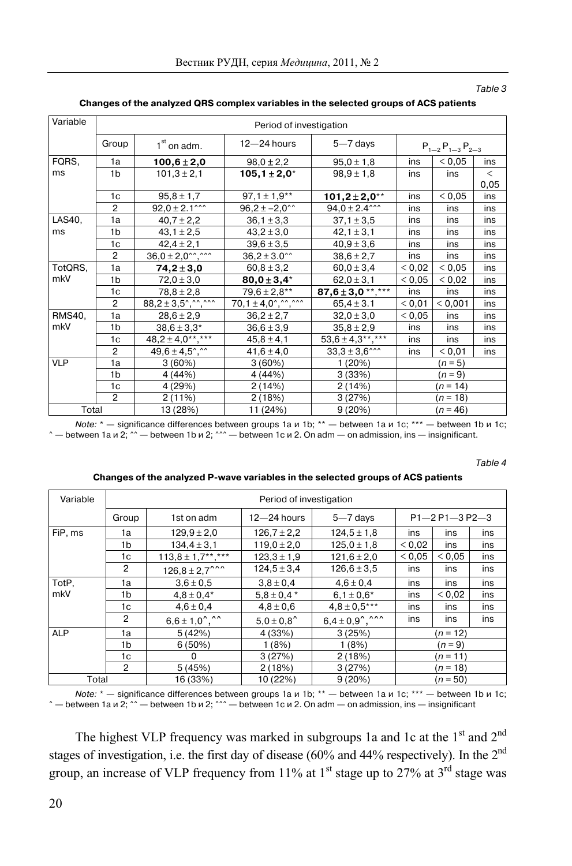Table 3

| Variable      |                | Period of investigation                    |                                   |                               |                         |         |       |  |  |
|---------------|----------------|--------------------------------------------|-----------------------------------|-------------------------------|-------------------------|---------|-------|--|--|
|               | Group          | $1st$ on adm.                              | $12 - 24$ hours                   | $5 - 7$ days                  | $P_{1-2}P_{1-3}P_{2-3}$ |         |       |  |  |
| FQRS,         | 1a             | $100,6 \pm 2,0$                            | $98,0 \pm 2,2$                    | $95,0 \pm 1,8$                | < 0.05<br>ins           |         | ins   |  |  |
| ms            | 1 <sub>b</sub> | $101.3 \pm 2.1$                            | $105, 1 \pm 2, 0^*$               | $98.9 \pm 1.8$                | ins                     | ins     | $\lt$ |  |  |
|               |                |                                            |                                   |                               |                         |         | 0,05  |  |  |
|               | 1 <sub>c</sub> | $95,8 \pm 1,7$                             | $97,1 \pm 1,9**$                  | $101,2 \pm 2,0^{**}$          | ins                     | < 0.05  | ins   |  |  |
|               | $\overline{2}$ | $92.0 \pm 2.1$ ^^^                         | $96,2 \pm -2,0^{22}$              | $94.0 \pm 2.4$ ^^^            | ins                     | ins     | ins   |  |  |
| LAS40,        | 1a             | $40,7 \pm 2,2$                             | $36,1 \pm 3,3$                    | $37,1 \pm 3,5$                | ins                     | ins     | ins   |  |  |
| ms            | 1b             | $43.1 \pm 2.5$                             | $43,2 \pm 3,0$                    | $42,1 \pm 3,1$                | ins                     | ins     | ins   |  |  |
|               | 1c             | $42,4 \pm 2,1$                             | $39,6 \pm 3,5$                    | $40,9 \pm 3,6$                | ins                     | ins     | ins   |  |  |
|               | $\overline{2}$ | $36.0 \pm 2.0$ <sup>2</sup> . <sup>2</sup> | $36.2 \pm 3.0$ <sup>**</sup>      | $38.6 \pm 2.7$                | ins                     | ins     | ins   |  |  |
| TotQRS,       | 1a             | $74.2 \pm 3.0$                             | $60,8 \pm 3,2$                    | $60,0 \pm 3,4$                | < 0,02                  | < 0,05  | ins   |  |  |
| mkV           | 1 <sub>b</sub> | $72,0 \pm 3,0$                             | $80.0 \pm 3.4*$                   | $62.0 \pm 3.1$                | < 0.05                  | < 0.02  | ins   |  |  |
|               | 1c             | $78.8 \pm 2.8$                             | $79.6 \pm 2.8***$                 | $87,6 \pm 3,0$ **,***         | ins                     | ins     | ins   |  |  |
|               | 2              | $88,2 \pm 3,5^{\circ}, ``\hat{,} ``$       | $70, 1 \pm 4, 0^{\circ},$ ^^, ^^^ | $65,4 \pm 3.1$                | < 0,01                  | < 0.001 | ins   |  |  |
| <b>RMS40.</b> | 1a             | $28,6 \pm 2,9$                             | $36,2 \pm 2,7$                    | $32,0 \pm 3,0$                | 0,05                    | ins     | ins   |  |  |
| mkV           | 1 <sub>b</sub> | $38,6 \pm 3,3*$                            | $36,6 \pm 3,9$                    | $35,8 \pm 2,9$                | ins                     | ins     | ins   |  |  |
|               | 1c             | $48,2 \pm 4,0$ **,***                      | $45,8 \pm 4,1$                    | $53.6 \pm 4.3***$             | ins                     | ins     | ins   |  |  |
|               | $\overline{2}$ | $49,6 \pm 4,5$ $\degree$ , $\degree$       | $41,6 \pm 4,0$                    | $33,3 \pm 3,6$ <sup>***</sup> | ins                     | < 0,01  | ins   |  |  |
| <b>VLP</b>    | 1a             | 3(60%)                                     | 3(60%)                            | 1 (20%)                       |                         | $(n=5)$ |       |  |  |
|               | 1 <sub>b</sub> | 4 (44%)                                    | 4 (44%)                           | 3(33%)                        | $(n=9)$                 |         |       |  |  |
|               | 1c             | 4 (29%)                                    | 2(14%)                            | 2(14%)                        | $(n = 14)$              |         |       |  |  |
| $\mathcal{P}$ |                | 2(11%)                                     | 2(18%)                            | 3(27%)                        | $(n = 18)$              |         |       |  |  |
| Total         |                | 13 (28%)                                   | 11 (24%)                          | 9(20%)                        | $(n = 46)$              |         |       |  |  |

#### **Changes of the analyzed QRS complex variables in the selected groups of ACS patients**

Note:  $*$  — significance differences between groups 1a  $\mu$  1b;  $**$  — between 1a  $\mu$  1c;  $***$  — between 1b  $\mu$  1c;  $\hat{P}$  — between 1a и 2;  $\hat{P}$  — between 1b и 2;  $\hat{P}$  — between 1c и 2. On adm — on admission, ins — insignificant.

Table 4

| Variable   | Period of investigation |                                 |                       |                                   |                      |            |     |  |  |
|------------|-------------------------|---------------------------------|-----------------------|-----------------------------------|----------------------|------------|-----|--|--|
|            | Group                   | 1st on adm                      | $12 - 24$ hours       | $5 - 7$ days                      | $P1 - 2P1 - 3P2 - 3$ |            |     |  |  |
| FiP, ms    | 1a                      | $129,9 \pm 2,0$                 | $126.7 \pm 2.2$       | $124.5 \pm 1.8$                   | ins                  | ins        | ins |  |  |
|            | 1b                      | $134.4 \pm 3.1$                 | $119.0 \pm 2.0$       | $125.0 \pm 1.8$                   | 0.02                 | ins        | ins |  |  |
|            | 1c                      | $113.8 \pm 1.7***$              | $123.3 \pm 1.9$       | $121.6 \pm 2.0$                   | < 0.05               | < 0.05     | ins |  |  |
|            | 2                       | $126,8 \pm 2,7$ <sup>^^^</sup>  | $124.5 \pm 3.4$       | $126.6 \pm 3.5$                   | ins                  | ins        | ins |  |  |
| TotP,      | 1a                      | $3.6 \pm 0.5$                   | $3.8 \pm 0.4$         | $4.6 \pm 0.4$                     | ins                  | ins        | ins |  |  |
| mkV        | 1b                      | $4.8 \pm 0.4*$                  | $5.8 \pm 0.4*$        | $6.1 \pm 0.6*$                    | ins                  | 0.02       | ins |  |  |
|            | 1c                      | $4.6 \pm 0.4$                   | $4.8 \pm 0.6$         | $4.8 \pm 0.5***$                  | ins                  | ins        | ins |  |  |
|            | 2                       | $6,6 \pm 1,0^{\degree},\degree$ | $5.0 \pm 0.8^{\circ}$ | $6,4\pm0,9^{\degree},^{4\degree}$ | ins                  | ins        | ins |  |  |
| <b>ALP</b> | 1a                      | 5(42%)                          | 4 (33%)               | 3(25%)                            |                      | $(n = 12)$ |     |  |  |
|            | 1b                      | 6(50%)                          | 1(8%)                 | 1(8%)                             | $(n = 9)$            |            |     |  |  |
|            | 1c                      | 0                               | 3(27%)                | 2(18%)                            | $(n = 11)$           |            |     |  |  |
|            | $\overline{2}$          | 5(45%)                          | 2(18%)                | 3(27%)                            | $(n = 18)$           |            |     |  |  |
| Total      |                         | 16 (33%)                        | 10 (22%)              | 9(20%)                            | $(n = 50)$           |            |     |  |  |

#### **Changes of the analyzed Р-wave variables in the selected groups of ACS patients**

Note:  $*$  — significance differences between groups 1a  $u$  1b;  $**$  — between 1a  $u$  1c;  $***$  — between 1b  $u$  1c; ^ — between 1a и 2; ^^ — between 1b и 2; ^^^ — between 1c и 2. On adm — on admission, ins — insignificant

The highest VLP frequency was marked in subgroups 1a and 1c at the  $1<sup>st</sup>$  and  $2<sup>nd</sup>$ stages of investigation, i.e. the first day of disease (60% and 44% respectively). In the 2nd group, an increase of VLP frequency from 11% at  $1<sup>st</sup>$  stage up to 27% at  $3<sup>rd</sup>$  stage was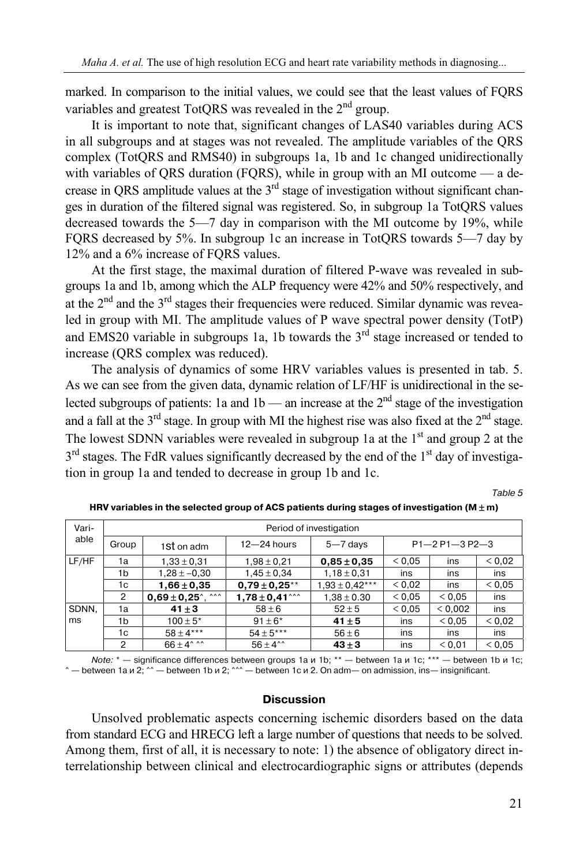marked. In comparison to the initial values, we could see that the least values of FQRS variables and greatest TotORS was revealed in the 2<sup>nd</sup> group.

It is important to note that, significant changes of LAS40 variables during ACS in all subgroups and at stages was not revealed. The amplitude variables of the QRS complex (TotQRS and RMS40) in subgroups 1а, 1b and 1c changed unidirectionally with variables of QRS duration (FQRS), while in group with an MI outcome — a decrease in QRS amplitude values at the  $3<sup>rd</sup>$  stage of investigation without significant changes in duration of the filtered signal was registered. So, in subgroup 1а TotQRS values decreased towards the 5—7 day in comparison with the MI outcome by 19%, while FQRS decreased by 5%. In subgroup 1c an increase in TotQRS towards 5—7 day by 12% and a 6% increase of FQRS values.

At the first stage, the maximal duration of filtered Р-wave was revealed in subgroups 1а and 1b, among which the ALP frequency were 42% and 50% respectively, and at the  $2<sup>nd</sup>$  and the  $3<sup>rd</sup>$  stages their frequencies were reduced. Similar dynamic was revealed in group with MI. The amplitude values of P wave spectral power density (TotP) and EMS20 variable in subgroups 1a, 1b towards the  $3<sup>rd</sup>$  stage increased or tended to increase (QRS complex was reduced).

The analysis of dynamics of some HRV variables values is presented in tab. 5. As we can see from the given data, dynamic relation of LF/HF is unidirectional in the selected subgroups of patients: 1a and 1b — an increase at the  $2<sup>nd</sup>$  stage of the investigation and a fall at the  $3<sup>rd</sup>$  stage. In group with MI the highest rise was also fixed at the  $2<sup>nd</sup>$  stage. The lowest SDNN variables were revealed in subgroup 1a at the  $1<sup>st</sup>$  and group 2 at the  $3<sup>rd</sup>$  stages. The FdR values significantly decreased by the end of the 1<sup>st</sup> day of investigation in group 1а and tended to decrease in group 1b and 1c.

Table 5

| Vari- | Period of investigation |                          |                        |                    |        |                      |        |  |  |  |  |
|-------|-------------------------|--------------------------|------------------------|--------------------|--------|----------------------|--------|--|--|--|--|
| able  | Group                   | 1St on adm               | $12 - 24$ hours        | $5 - 7$ days       |        | $P1 - 2P1 - 3P2 - 3$ |        |  |  |  |  |
| LF/HF | 1a                      | $1,33 \pm 0,31$          | $1,98 \pm 0,21$        | $0.85 \pm 0.35$    | < 0.05 | ins                  | < 0.02 |  |  |  |  |
|       | 1b                      | $1,28 \pm -0.30$         | $1,45 \pm 0,34$        | $1,18 \pm 0,31$    | ins    | ins                  | ins    |  |  |  |  |
|       | 1c                      | $1,66 \pm 0,35$          | $0.79 \pm 0.25**$      | $1,93 \pm 0,42***$ | < 0.02 | ins                  | < 0.05 |  |  |  |  |
|       | 2                       | $0,69 \pm 0,25$ , $\sim$ | $1,78 \pm 0,41$ $\sim$ | $1,38 \pm 0.30$    | < 0.05 | < 0.05               | ins    |  |  |  |  |
| SDNN, | 1a                      | $41 \pm 3$               | $58 \pm 6$             | $52 \pm 5$         | < 0.05 | < 0.002              | ins    |  |  |  |  |
| ms    | 1b                      | $100 \pm 5*$             | $91 \pm 6^*$           | $41 \pm 5$         | ins    | ${}_{0.05}$          | 0.02   |  |  |  |  |
|       | 1c                      | $58 \pm 4***$            | $54 \pm 5***$          | $56 \pm 6$         | ins    | ins                  | ins    |  |  |  |  |
|       | 2                       | $66 + 4^{\circ}$ ^^      | $56 + 4^{\circ}$       | $43 \pm 3$         | ins    | < 0.01               | < 0.05 |  |  |  |  |

HRV variables in the selected group of ACS patients during stages of investigation ( $M \pm m$ )

Note: \* - significance differences between groups 1а и 1b; \*\* - between 1а и 1c; \*\*\* - between 1b и 1c; — between 1a и 2; ^^ — between 1b и 2; ^^^ — between 1c и 2. On adm— on admission, ins— insignificant.

### **Discussion**

Unsolved problematic aspects concerning ischemic disorders based on the data from standard ECG and HRECG left a large number of questions that needs to be solved. Among them, first of all, it is necessary to note: 1) the absence of obligatory direct interrelationship between clinical and electrocardiographic signs or attributes (depends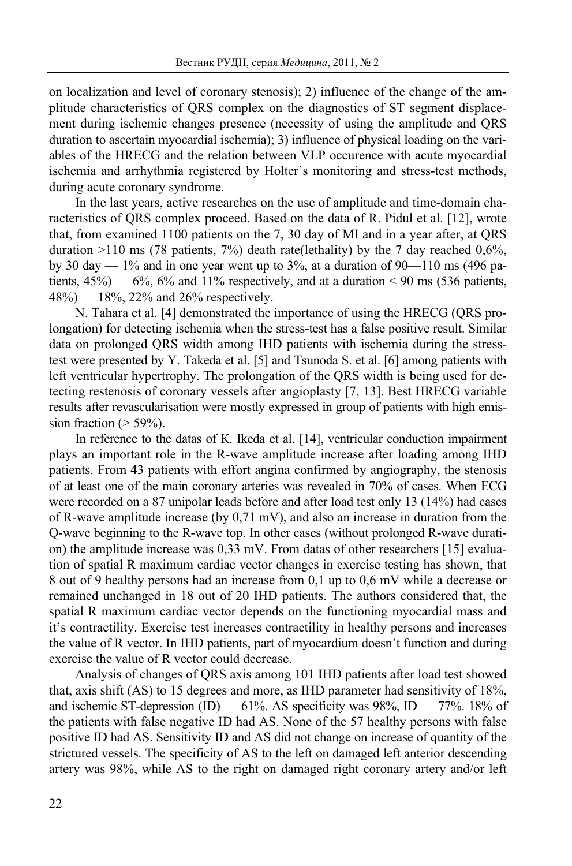on localization and level of coronary stenosis); 2) influence of the change of the amplitude characteristics of QRS complex on the diagnostics of ST segment displacement during ischemic changes presence (necessity of using the amplitude and QRS duration to ascertain myocardial ischemia); 3) influence of physical loading on the variables of the HRECG and the relation between VLP occurence with acute myocardial ischemia and arrhythmia registered by Holter's monitoring and stress-test methods, during acute coronary syndrome.

In the last years, active researches on the use of amplitude and time-domain characteristics of QRS complex proceed. Based on the data of R. Pidul et al. [12], wrote that, from examined 1100 patients on the 7, 30 day of MI and in a year after, at QRS duration  $>110$  ms (78 patients, 7%) death rate(lethality) by the 7 day reached 0,6%, by 30 day  $-1\%$  and in one year went up to 3%, at a duration of 90 $-110$  ms (496 patients,  $45\%$ ) — 6%, 6% and 11% respectively, and at a duration < 90 ms (536 patients,  $48\%$ ) — 18%, 22% and 26% respectively.

N. Tahara et al. [4] demonstrated the importance of using the HRECG (QRS prolongation) for detecting ischemia when the stress-test has a false positive result. Similar data on prolonged QRS width among IHD patients with ischemia during the stresstest were presented by Y. Takeda et al. [5] and Tsunoda S. et al. [6] among patients with left ventricular hypertrophy. The prolongation of the QRS width is being used for detecting restenosis of coronary vessels after angioplasty [7, 13]. Best HRECG variable results after revascularisation were mostly expressed in group of patients with high emission fraction  $(> 59\%)$ .

In reference to the datas of К. Ikeda et al. [14], ventricular conduction impairment plays an important role in the R-wave amplitude increase after loading among IHD patients. From 43 patients with effort angina confirmed by angiography, the stenosis of at least one of the main coronary arteries was revealed in 70% of cases. When ECG were recorded on a 87 unipolar leads before and after load test only 13 (14%) had cases of R-wave amplitude increase (by 0,71 mV), and also an increase in duration from the Q-wave beginning to the R-wave top. In other cases (without prolonged R-wave duration) the amplitude increase was 0,33 mV. From datas of other researchers [15] evaluation of spatial R maximum cardiac vector changes in exercise testing has shown, that 8 out of 9 healthy persons had an increase from 0,1 up to 0,6 mV while a decrease or remained unchanged in 18 out of 20 IHD patients. The authors considered that, the spatial R maximum cardiac vector depends on the functioning myocardial mass and it's contractility. Exercise test increases contractility in healthy persons and increases the value of R vector. In IHD patients, part of myocardium doesn't function and during exercise the value of R vector could decrease.

Analysis of changes of QRS axis among 101 IHD patients after load test showed that, axis shift (AS) to 15 degrees and more, as IHD parameter had sensitivity of 18%, and ischemic ST-depression (ID) — 61%. AS specificity was 98%, ID — 77%. 18% of the patients with false negative ID had AS. None of the 57 healthy persons with false positive ID had AS. Sensitivity ID and AS did not change on increase of quantity of the strictured vessels. The specificity of AS to the left on damaged left anterior descending artery was 98%, while AS to the right on damaged right coronary artery and/or left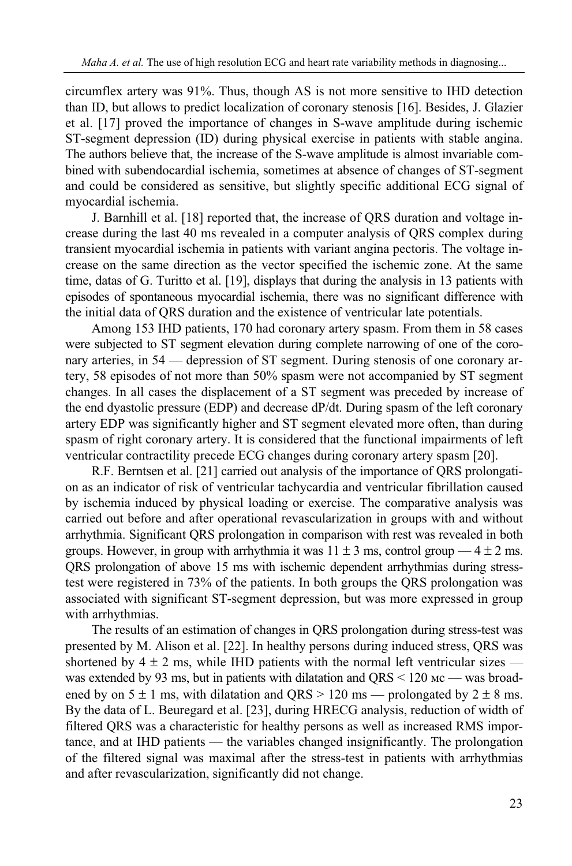circumflex artery was 91%. Thus, though AS is not more sensitive to IHD detection than ID, but allows to predict localization of coronary stenosis [16]. Besides, J. Glazier et al. [17] proved the importance of changes in S-wave amplitude during ischemic ST-segment depression (ID) during physical exercise in patients with stable angina. The authors believe that, the increase of the S-wave amplitude is almost invariable combined with subendocardial ischemia, sometimes at absence of changes of ST-segment and could be considered as sensitive, but slightly specific additional ECG signal of myocardial ischemia.

J. Barnhill et al. [18] reported that, the increase of QRS duration and voltage increase during the last 40 ms revealed in a computer analysis of QRS complex during transient myocardial ischemia in patients with variant angina pectoris. The voltage increase on the same direction as the vector specified the ischemic zone. At the same time, datas of G. Turitto et al. [19], displays that during the analysis in 13 patients with episodes of spontaneous myocardial ischemia, there was no significant difference with the initial data of QRS duration and the existence of ventricular late potentials.

Among 153 IHD patients, 170 had coronary artery spasm. From them in 58 cases were subjected to ST segment elevation during complete narrowing of one of the coronary arteries, in 54 — depression of ST segment. During stenosis of one coronary artery, 58 episodes of not more than 50% spasm were not accompanied by ST segment changes. In all cases the displacement of a ST segment was preceded by increase of the end dyastolic pressure (EDP) and decrease dP/dt. During spasm of the left coronary artery EDP was significantly higher and ST segment elevated more often, than during spasm of right coronary artery. It is considered that the functional impairments of left ventricular contractility precede ECG changes during coronary artery spasm [20].

R.F. Berntsen et al. [21] carried out analysis of the importance of QRS prolongation as an indicator of risk of ventricular tachycardia and ventricular fibrillation caused by ischemia induced by physical loading or exercise. The comparative analysis was carried out before and after operational revascularization in groups with and without arrhythmia. Significant QRS prolongation in comparison with rest was revealed in both groups. However, in group with arrhythmia it was  $11 \pm 3$  ms, control group  $-4 \pm 2$  ms. QRS prolongation of above 15 ms with ischemic dependent arrhythmias during stresstest were registered in 73% of the patients. In both groups the QRS prolongation was associated with significant ST-segment depression, but was more expressed in group with arrhythmias.

The results of an estimation of changes in QRS prolongation during stress-test was presented by M. Alison et al. [22]. In healthy persons during induced stress, QRS was shortened by  $4 \pm 2$  ms, while IHD patients with the normal left ventricular sizes was extended by 93 ms, but in patients with dilatation and QRS < 120  $\mu$ c — was broadened by on  $5 \pm 1$  ms, with dilatation and  $ORS > 120$  ms — prolongated by  $2 \pm 8$  ms. By the data of L. Beuregard et al. [23], during HRECG analysis, reduction of width of filtered QRS was a characteristic for healthy persons as well as increased RMS importance, and at IHD patients — the variables changed insignificantly. The prolongation of the filtered signal was maximal after the stress-test in patients with arrhythmias and after revascularization, significantly did not change.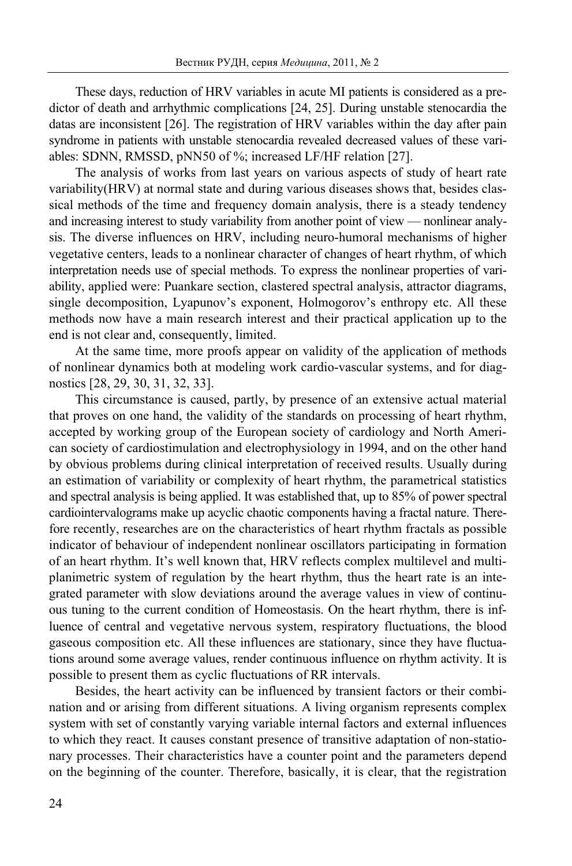These days, reduction of HRV variables in acute MI patients is considered as a predictor of death and arrhythmic complications [24, 25]. During unstable stenocardia the datas are inconsistent [26]. The registration of HRV variables within the day after pain syndrome in patients with unstable stenocardia revealed decreased values of these variables: SDNN, RMSSD, pNN50 of %; increased LF/HF relation [27].

The analysis of works from last years on various aspects of study of heart rate variability(HRV) at normal state and during various diseases shows that, besides classical methods of the time and frequency domain analysis, there is a steady tendency and increasing interest to study variability from another point of view — nonlinear analysis. The diverse influences on HRV, including neuro-humoral mechanisms of higher vegetative centers, leads to a nonlinear character of changes of heart rhythm, of which interpretation needs use of special methods. To express the nonlinear properties of variability, applied were: Puankare section, clastered spectral analysis, attractor diagrams, single decomposition, Lyapunov's exponent, Hоlmоgоrоv's enthropy etc. All these methods now have a main research interest and their practical application up to the end is not clear and, consequently, limited.

At the same time, more proofs appear on validity of the application of methods of nonlinear dynamics both at modeling work cardio-vascular systems, and for diagnostics [28, 29, 30, 31, 32, 33].

This circumstance is caused, partly, by presence of an extensive actual material that proves on one hand, the validity of the standards on processing of heart rhythm, accepted by working group of the European society of cardiology and North American society of cardiostimulation and electrophysiology in 1994, and on the other hand by obvious problems during clinical interpretation of received results. Usually during an estimation of variability or complexity of heart rhythm, the parametrical statistics and spectral analysis is being applied. It was established that, up to 85% of power spectral cardiointervalograms make up acyclic chaotic components having a fractal nature. Therefore recently, researches are on the characteristics of heart rhythm fractals as possible indicator of behaviour of independent nonlinear oscillators participating in formation of an heart rhythm. It's well known that, HRV reflects complex multilevel and multiplanimetric system of regulation by the heart rhythm, thus the heart rate is an integrated parameter with slow deviations around the average values in view of continuous tuning to the current condition of Homeostasis. On the heart rhythm, there is influence of central and vegetative nervous system, respiratory fluctuations, the blood gaseous composition etc. All these influences are stationary, since they have fluctuations around some average values, render continuous influence on rhythm activity. It is possible to present them as cyclic fluctuations of RR intervals.

Besides, the heart activity can be influenced by transient factors or their combination and or arising from different situations. A living organism represents complex system with set of constantly varying variable internal factors and external influences to which they react. It causes constant presence of transitive adaptation of non-stationary processes. Their characteristics have a counter point and the parameters depend on the beginning of the counter. Therefore, basically, it is clear, that the registration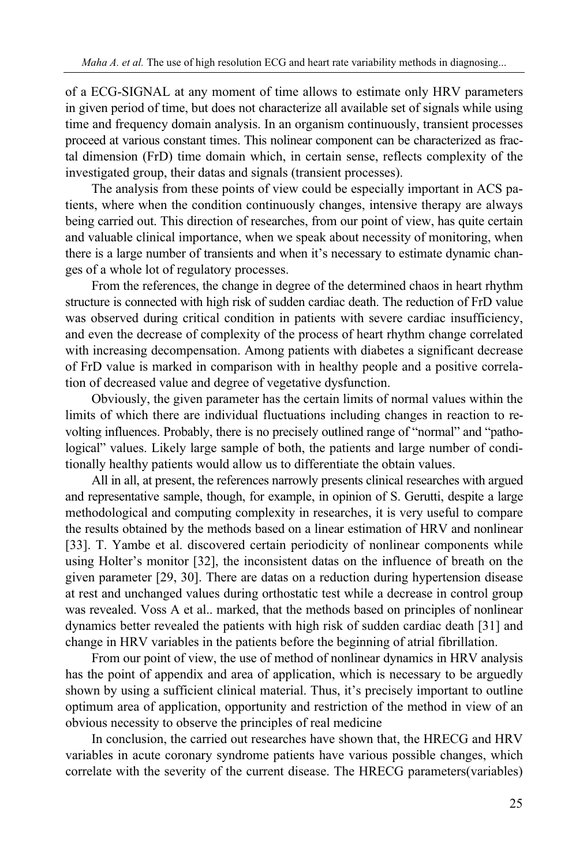of a ECG-SIGNAL at any moment of time allows to estimate only HRV parameters in given period of time, but does not characterize all available set of signals while using time and frequency domain analysis. In an organism continuously, transient processes proceed at various constant times. This nolinear component can be characterized as fractal dimension (FrD) time domain which, in certain sense, reflects complexity of the investigated group, their datas and signals (transient processes).

The analysis from these points of view could be especially important in ACS patients, where when the condition continuously changes, intensive therapy are always being carried out. This direction of researches, from our point of view, has quite certain and valuable clinical importance, when we speak about necessity of monitoring, when there is a large number of transients and when it's necessary to estimate dynamic changes of a whole lot of regulatory processes.

From the references, the change in degree of the determined chaos in heart rhythm structure is connected with high risk of sudden cardiac death. The reduction of FrD value was observed during critical condition in patients with severe cardiac insufficiency, and even the decrease of complexity of the process of heart rhythm change correlated with increasing decompensation. Among patients with diabetes a significant decrease of FrD value is marked in comparison with in healthy people and a positive correlation of decreased value and degree of vegetative dysfunction.

Obviously, the given parameter has the certain limits of normal values within the limits of which there are individual fluctuations including changes in reaction to revolting influences. Probably, there is no precisely outlined range of "normal" and "pathological" values. Likely large sample of both, the patients and large number of conditionally healthy patients would allow us to differentiate the obtain values.

All in all, at present, the references narrowly presents clinical researches with argued and representative sample, though, for example, in opinion of S. Gerutti, despite a large methodological and computing complexity in researches, it is very useful to compare the results obtained by the methods based on a linear estimation of HRV and nonlinear [33]. T. Yambe et al. discovered certain periodicity of nonlinear components while using Holter's monitor [32], the inconsistent datas on the influence of breath on the given parameter [29, 30]. There are datas on a reduction during hypertension disease at rest and unchanged values during orthostatic test while a decrease in control group was revealed. Voss A et al.. marked, that the methods based on principles of nonlinear dynamics better revealed the patients with high risk of sudden cardiac death [31] and change in HRV variables in the patients before the beginning of atrial fibrillation.

From our point of view, the use of method of nonlinear dynamics in HRV analysis has the point of appendix and area of application, which is necessary to be arguedly shown by using a sufficient clinical material. Thus, it's precisely important to outline optimum area of application, opportunity and restriction of the method in view of an obvious necessity to observe the principles of real medicine

In conclusion, the carried out researches have shown that, the HRECG and HRV variables in acute coronary syndrome patients have various possible changes, which correlate with the severity of the current disease. The HRECG parameters(variables)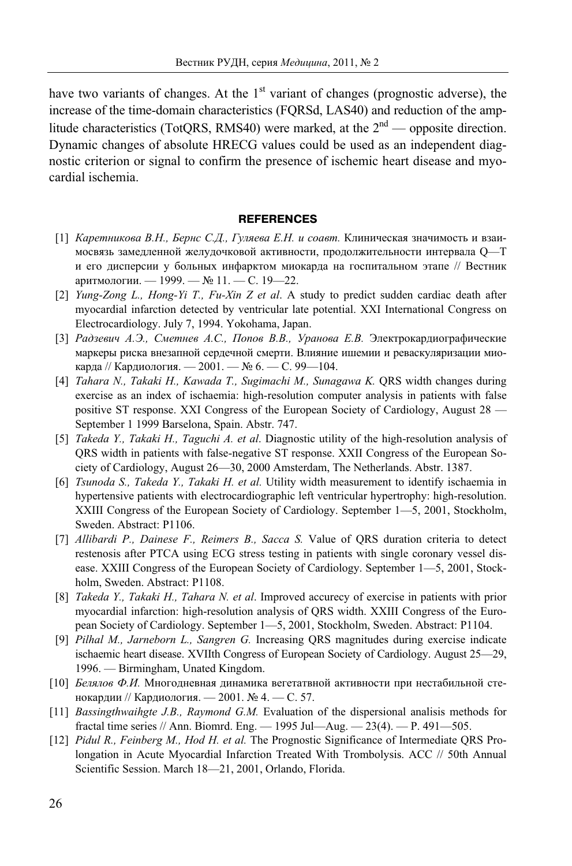have two variants of changes. At the  $1<sup>st</sup>$  variant of changes (prognostic adverse), the increase of the time-domain characteristics (FQRSd, LAS40) and reduction of the amplitude characteristics (TotQRS, RMS40) were marked, at the  $2<sup>nd</sup>$  — opposite direction. Dynamic changes of absolute HRECG values could be used as an independent diagnostic criterion or signal to confirm the presence of ischemic heart disease and myocardial ischemia.

### **REFERENCES**

- [1] *Каретникова В.Н., Бернс С.Д., Гуляева Е.Н. и соавт.* Клиническая значимость и взаимосвязь замедленной желудочковой активности, продолжительности интервала Q—T и его дисперсии у больных инфарктом миокарда на госпитальном этапе // Вестник аритмологии. — 1999. — № 11. — С. 19—22.
- [2] *Yung-Zong L., Hong-Yi T., Fu-Xin Z et al*. A study to predict sudden cardiac death after myocardial infarction detected by ventricular late potential. XXI International Congress on Electrocardiology. July 7, 1994. Yokohama, Japan.
- [3] *Радзевич А.Э., Сметнев А.С., Попов В.В., Уранова Е.В.* Электрокардиографические маркеры риска внезапной сердечной смерти. Влияние ишемии и реваскуляризации миокарда // Кардиология. — 2001. — № 6. — С. 99—104.
- [4] *Tahara N., Takaki H., Kawada T., Sugimachi M., Sunagawa K.* QRS width changes during exercise as an index of ischaemia: high-resolution computer analysis in patients with false positive ST response. XXI Congress of the European Society of Cardiology, August 28 — September 1 1999 Barselona, Spain. Abstr. 747.
- [5] *Takeda Y., Takaki H., Taguchi A. et al*. Diagnostic utility of the high-resolution analysis of QRS width in patients with false-negative ST response. XXII Congress of the European Society of Cardiology, August 26—30, 2000 Amsterdam, The Netherlands. Abstr. 1387.
- [6] *Tsunoda S., Takeda Y., Takaki H. et al.* Utility width measurement to identify ischaemia in hypertensive patients with electrocardiographic left ventricular hypertrophy: high-resolution. XXIII Congress of the European Society of Cardiology. September 1—5, 2001, Stockholm, Sweden. Abstract: P1106.
- [7] *Allibardi P., Dainese F., Reimers B., Sacca S.* Value of QRS duration criteria to detect restenosis after PTCA using ECG stress testing in patients with single coronary vessel disease. XXIII Congress of the European Society of Cardiology. September 1—5, 2001, Stockholm, Sweden. Abstract: P1108.
- [8] *Takeda Y., Takaki H., Tahara N. et al*. Improved accurecy of exercise in patients with prior myocardial infarction: high-resolution analysis of QRS width. XXIII Congress of the European Society of Cardiology. September 1—5, 2001, Stockholm, Sweden. Abstract: P1104.
- [9] *Pilhal M., Jarneborn L., Sangren G.* Increasing QRS magnitudes during exercise indicate ischaemic heart disease. XVIIth Congress of European Society of Cardiology. August 25—29, 1996. — Birmingham, Unated Kingdom.
- [10] *Белялов Ф.И.* Многодневная динамика вегетатвной активности при нестабильной стенокардии // Кардиология. — 2001. № 4. — С. 57.
- [11] *Bassingthwaihgte J.B., Raymond G.M.* Evaluation of the dispersional analisis methods for fractal time series // Ann. Biomrd. Eng. — 1995 Jul—Aug. — 23(4). — P. 491—505.
- [12] *Pidul R., Feinberg M., Hod H. et al.* The Prognostic Significance of Intermediate QRS Prolongation in Acute Myocardial Infarction Treated With Trombolysis. ACC // 50th Annual Scientific Session. March 18—21, 2001, Orlando, Florida.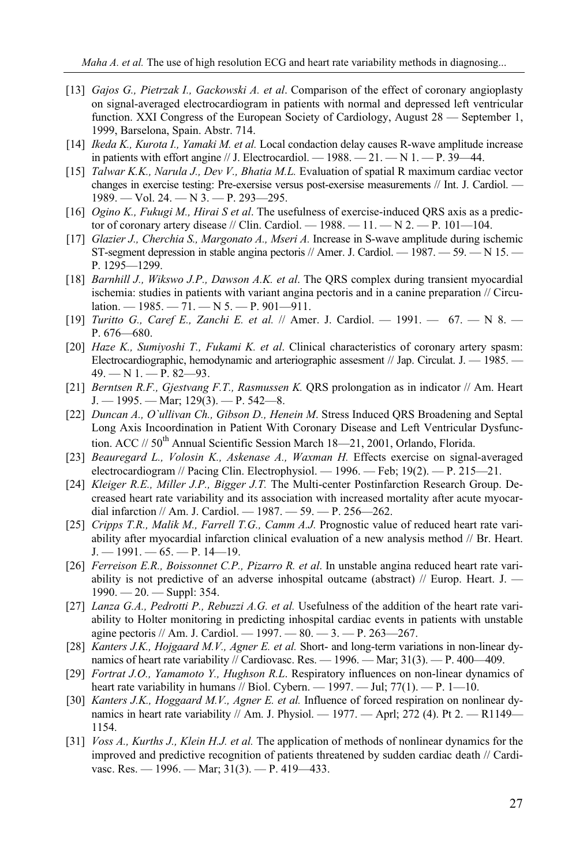- [13] *Gajos G., Pietrzak I., Gackowski A. et al*. Comparison of the effect of coronary angioplasty on signal-averaged electrocardiogram in patients with normal and depressed left ventricular function. XXI Congress of the European Society of Cardiology, August 28 — September 1, 1999, Barselona, Spain. Abstr. 714.
- [14] *Ikeda K., Kurota I., Yamaki M. et al.* Local condaction delay causes R-wave amplitude increase in patients with effort angine  $//$  J. Electrocardiol. — 1988. — 21. — N 1. — P. 39—44.
- [15] *Talwar K.K., Narula J., Dev V., Bhatia M.L.* Evaluation of spatial R maximum cardiac vector changes in exercise testing: Pre-exersise versus post-exersise measurements // Int. J. Cardiol. — 1989. — Vol. 24. — N 3. — P. 293—295.
- [16] *Ogino K., Fukugi M., Hirai S et al*. The usefulness of exercise-induced QRS axis as a predictor of coronary artery disease // Clin. Cardiol.  $-1988. -11. -N2. -P. 101-104.$
- [17] *Glazier J., Cherchia S., Margonato A., Mseri A.* Increase in S-wave amplitude during ischemic ST-segment depression in stable angina pectoris  $//$  Amer. J. Cardiol. — 1987. — 59. — N 15. — P. 1295—1299.
- [18] *Barnhill J., Wikswo J.P., Dawson A.K. et al*. The QRS complex during transient myocardial ischemia: studies in patients with variant angina pectoris and in a canine preparation // Circulation. — 1985. — 71. — N 5. — P. 901—911.
- [19] *Turitto G., Caref E., Zanchi E. et al.* // Amer. J. Cardiol. 1991. 67. N 8. P. 676—680.
- [20] *Haze K., Sumiyoshi T., Fukami K. et al*. Clinical characteristics of coronary artery spasm: Electrocardiographic, hemodynamic and arteriographic assesment // Jap. Circulat. J. — 1985. — 49. — N 1. — P. 82—93.
- [21] *Berntsen R.F., Gjestvang F.T., Rasmussen K.* QRS prolongation as in indicator // Am. Heart  $J. - 1995. -$  Mar; 129(3).  $- P. 542 - 8$ .
- [22] *Duncan A., O`ullivan Ch., Gibson D., Henein M*. Stress Induced QRS Broadening and Septal Long Axis Incoordination in Patient With Coronary Disease and Left Ventricular Dysfunction. ACC //  $50^{th}$  Annual Scientific Session March 18—21, 2001, Orlando, Florida.
- [23] *Beauregard L., Volosin K., Askenase A., Waxman H.* Effects exercise on signal-averaged electrocardiogram // Pacing Clin. Electrophysiol. — 1996. — Feb; 19(2). — P. 215—21.
- [24] *Kleiger R.E., Miller J.P., Bigger J.T.* The Multi-center Postinfarction Research Group. Decreased heart rate variability and its association with increased mortality after acute myocardial infarction // Am. J. Cardiol. — 1987. — 59. — P. 256—262.
- [25] *Cripps T.R., Malik M., Farrell T.G., Camm A.J.* Prognostic value of reduced heart rate variability after myocardial infarction clinical evaluation of a new analysis method // Br. Heart.  $J. - 1991. - 65. - P. 14 - 19.$
- [26] *Ferreison E.R., Boissonnet C.P., Pizarro R. et al*. In unstable angina reduced heart rate variability is not predictive of an adverse inhospital outcame (abstract)  $\ell$  Europ. Heart. J. 1990. — 20. — Suppl: 354.
- [27] *Lanza G.A., Pedrotti P., Rebuzzi A.G. et al.* Usefulness of the addition of the heart rate variability to Holter monitoring in predicting inhospital cardiac events in patients with unstable agine pectoris // Am. J. Cardiol. —  $1997. - 80. - 3. - P. 263 - 267.$
- [28] *Kanters J.K., Hojgaard M.V., Agner E. et al.* Short- and long-term variations in non-linear dynamics of heart rate variability // Cardiovasc. Res.  $-$  1996.  $-$  Mar; 31(3).  $-$  P. 400 $-$ 409.
- [29] *Fortrat J.O., Yamamoto Y., Hughson R.L*. Respiratory influences on non-linear dynamics of heart rate variability in humans // Biol. Cybern. — 1997. — Jul;  $77(1)$ . — P. 1—10.
- [30] *Kanters J.K., Hoggaard M.V., Agner E. et al.* Influence of forced respiration on nonlinear dynamics in heart rate variability // Am. J. Physiol. — 1977. — Aprl; 272 (4). Pt 2. — R1149— 1154.
- [31] *Voss A., Kurths J., Klein H.J. et al.* The application of methods of nonlinear dynamics for the improved and predictive recognition of patients threatened by sudden cardiac death // Cardivasc. Res.  $-1996$ .  $-$  Mar; 31(3).  $-$  P. 419 $-433$ .